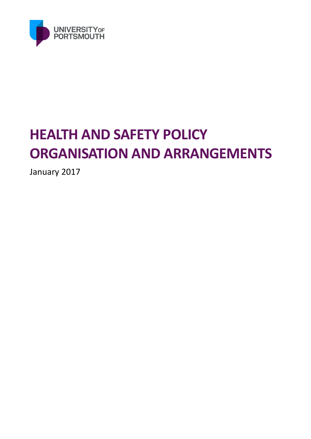

# **HEALTH AND SAFETY POLICY ORGANISATION AND ARRANGEMENTS**

January 2017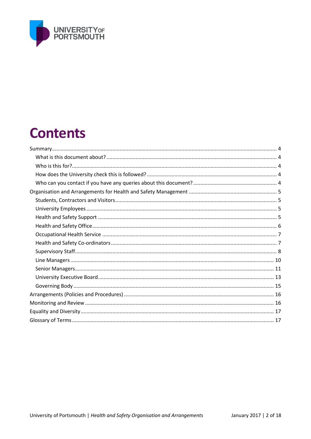

# **Contents**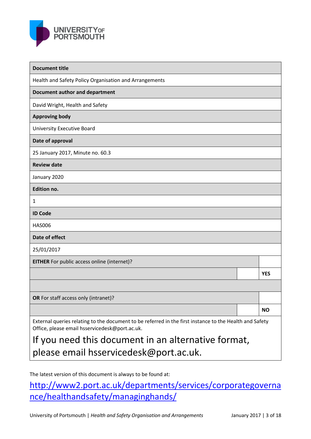

| <b>Document title</b>                                                                                                                                     |            |
|-----------------------------------------------------------------------------------------------------------------------------------------------------------|------------|
| Health and Safety Policy Organisation and Arrangements                                                                                                    |            |
| <b>Document author and department</b>                                                                                                                     |            |
| David Wright, Health and Safety                                                                                                                           |            |
| <b>Approving body</b>                                                                                                                                     |            |
| <b>University Executive Board</b>                                                                                                                         |            |
| Date of approval                                                                                                                                          |            |
| 25 January 2017, Minute no. 60.3                                                                                                                          |            |
| <b>Review date</b>                                                                                                                                        |            |
| January 2020                                                                                                                                              |            |
| <b>Edition no.</b>                                                                                                                                        |            |
| 1                                                                                                                                                         |            |
| <b>ID Code</b>                                                                                                                                            |            |
| <b>HAS006</b>                                                                                                                                             |            |
| Date of effect                                                                                                                                            |            |
| 25/01/2017                                                                                                                                                |            |
| <b>EITHER</b> For public access online (internet)?                                                                                                        |            |
|                                                                                                                                                           | <b>YES</b> |
|                                                                                                                                                           |            |
| OR For staff access only (intranet)?                                                                                                                      |            |
|                                                                                                                                                           | <b>NO</b>  |
| External queries relating to the document to be referred in the first instance to the Health and Safety<br>Office, please email hsservicedesk@port.ac.uk. |            |
| If you need this document in an alternative format,                                                                                                       |            |

please email hsservicedesk@port.ac.uk.

The latest version of this document is always to be found at:

http://www2.port.ac.uk/departments/services/corporategoverna nce/healthandsafety/managinghands/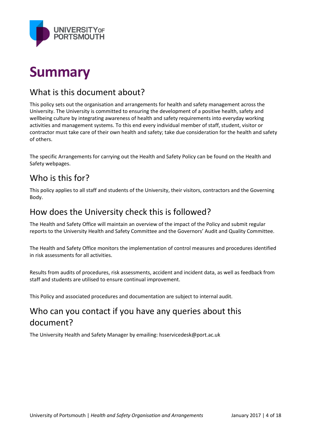

# **Summary**

# What is this document about?

This policy sets out the organisation and arrangements for health and safety management across the University. The University is committed to ensuring the development of a positive health, safety and wellbeing culture by integrating awareness of health and safety requirements into everyday working activities and management systems. To this end every individual member of staff, student, visitor or contractor must take care of their own health and safety; take due consideration for the health and safety of others.

The specific Arrangements for carrying out the Health and Safety Policy can be found on the Health and Safety webpages.

# Who is this for?

This policy applies to all staff and students of the University, their visitors, contractors and the Governing Body.

## How does the University check this is followed?

The Health and Safety Office will maintain an overview of the impact of the Policy and submit regular reports to the University Health and Safety Committee and the Governors' Audit and Quality Committee.

The Health and Safety Office monitors the implementation of control measures and procedures identified in risk assessments for all activities.

Results from audits of procedures, risk assessments, accident and incident data, as well as feedback from staff and students are utilised to ensure continual improvement.

This Policy and associated procedures and documentation are subject to internal audit.

# Who can you contact if you have any queries about this document?

The University Health and Safety Manager by emailing: hsservicedesk@port.ac.uk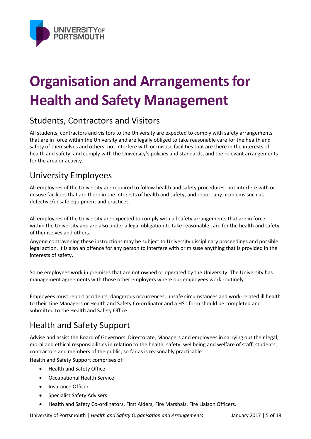

# **Organisation and Arrangements for Health and Safety Management**

## Students, Contractors and Visitors

All students, contractors and visitors to the University are expected to comply with safety arrangements that are in force within the University and are legally obliged to take reasonable care for the health and safety of themselves and others; not interfere with or misuse facilities that are there in the interests of health and safety; and comply with the University's policies and standards, and the relevant arrangements for the area or activity.

# University Employees

All employees of the University are required to follow health and safety procedures; not interfere with or misuse facilities that are there in the interests of health and safety, and report any problems such as defective/unsafe equipment and practices.

All employees of the University are expected to comply with all safety arrangements that are in force within the University and are also under a legal obligation to take reasonable care for the health and safety of themselves and others.

Anyone contravening these instructions may be subject to University disciplinary proceedings and possible legal action. It is also an offence for any person to interfere with or misuse anything that is provided in the interests of safety.

Some employees work in premises that are not owned or operated by the University. The University has management agreements with those other employers where our employees work routinely.

Employees must report accidents, dangerous occurrences, unsafe circumstances and work-related ill health to their Line Managers or Health and Safety Co-ordinator and a HS1 form should be completed and submitted to the Health and Safety Office.

# Health and Safety Support

Advise and assist the Board of Governors, Directorate, Managers and employees in carrying out their legal, moral and ethical responsibilities in relation to the health, safety, wellbeing and welfare of staff, students, contractors and members of the public, so far as is reasonably practicable.

Health and Safety Support comprises of:

- Health and Safety Office
- Occupational Health Service
- Insurance Officer
- **•** Specialist Safety Advisers
- Health and Safety Co-ordinators, First Aiders, Fire Marshals, Fire Liaison Officers.

University of Portsmouth | *Health and Safety Organisation and Arrangements* January 2017 | 5 of 18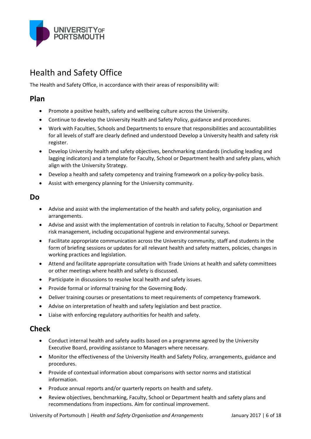

# Health and Safety Office

The Health and Safety Office, in accordance with their areas of responsibility will:

## **Plan**

- Promote a positive health, safety and wellbeing culture across the University.
- Continue to develop the University Health and Safety Policy, guidance and procedures.
- Work with Faculties, Schools and Departments to ensure that responsibilities and accountabilities for all levels of staff are clearly defined and understood Develop a University health and safety risk register.
- Develop University health and safety objectives, benchmarking standards (including leading and lagging indicators) and a template for Faculty, School or Department health and safety plans, which align with the University Strategy.
- Develop a health and safety competency and training framework on a policy-by-policy basis.
- Assist with emergency planning for the University community.

#### **Do**

- Advise and assist with the implementation of the health and safety policy, organisation and arrangements.
- Advise and assist with the implementation of controls in relation to Faculty, School or Department risk management, including occupational hygiene and environmental surveys.
- Facilitate appropriate communication across the University community, staff and students in the form of briefing sessions or updates for all relevant health and safety matters, policies, changes in working practices and legislation.
- Attend and facilitate appropriate consultation with Trade Unions at health and safety committees or other meetings where health and safety is discussed.
- Participate in discussions to resolve local health and safety issues.
- Provide formal or informal training for the Governing Body.
- Deliver training courses or presentations to meet requirements of competency framework.
- Advise on interpretation of health and safety legislation and best practice.
- Liaise with enforcing regulatory authorities for health and safety.

## **Check**

- Conduct internal health and safety audits based on a programme agreed by the University Executive Board, providing assistance to Managers where necessary.
- Monitor the effectiveness of the University Health and Safety Policy, arrangements, guidance and procedures.
- Provide of contextual information about comparisons with sector norms and statistical information.
- Produce annual reports and/or quarterly reports on health and safety.
- Review objectives, benchmarking, Faculty, School or Department health and safety plans and recommendations from inspections. Aim for continual improvement.

University of Portsmouth | *Health and Safety Organisation and Arrangements* January 2017 | 6 of 18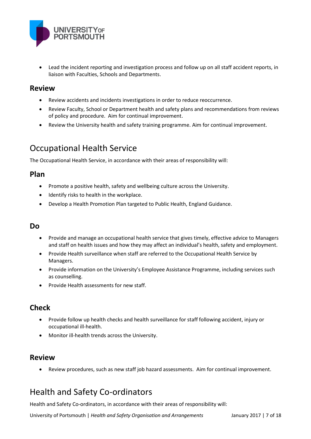

 Lead the incident reporting and investigation process and follow up on all staff accident reports, in liaison with Faculties, Schools and Departments.

#### **Review**

- Review accidents and incidents investigations in order to reduce reoccurrence.
- Review Faculty, School or Department health and safety plans and recommendations from reviews of policy and procedure. Aim for continual improvement.
- Review the University health and safety training programme. Aim for continual improvement.

# Occupational Health Service

The Occupational Health Service, in accordance with their areas of responsibility will:

#### **Plan**

- Promote a positive health, safety and wellbeing culture across the University.
- Identify risks to health in the workplace.
- Develop a Health Promotion Plan targeted to Public Health, England Guidance.

#### **Do**

- Provide and manage an occupational health service that gives timely, effective advice to Managers and staff on health issues and how they may affect an individual's health, safety and employment.
- Provide Health surveillance when staff are referred to the Occupational Health Service by Managers.
- Provide information on the University's Employee Assistance Programme, including services such as counselling.
- Provide Health assessments for new staff.

## **Check**

- Provide follow up health checks and health surveillance for staff following accident, injury or occupational ill-health.
- Monitor ill-health trends across the University.

## **Review**

Review procedures, such as new staff job hazard assessments. Aim for continual improvement.

# Health and Safety Co-ordinators

Health and Safety Co-ordinators, in accordance with their areas of responsibility will:

University of Portsmouth | *Health and Safety Organisation and Arrangements* January 2017 | 7 of 18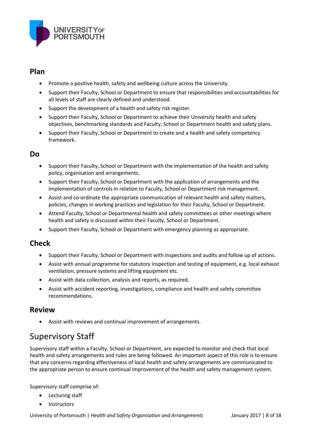

### **Plan**

- Promote a positive health, safety and wellbeing culture across the University.
- Support their Faculty, School or Department to ensure that responsibilities and accountabilities for all levels of staff are clearly defined and understood.
- Support the development of a health and safety risk register.
- Support their Faculty, School or Department to achieve their University health and safety objectives, benchmarking standards and Faculty, School or Department health and safety plans.
- Support their Faculty, School or Department to create and a health and safety competency framework.

### **Do**

- Support their Faculty, School or Department with the implementation of the health and safety policy, organisation and arrangements.
- Support their Faculty, School or Department with the application of arrangements and the implementation of controls in relation to Faculty, School or Department risk management.
- Assist and co-ordinate the appropriate communication of relevant health and safety matters, policies, changes in working practices and legislation for their Faculty, School or Department.
- Attend Faculty, School or Departmental health and safety committees or other meetings where health and safety is discussed within their Faculty, School or Department.
- Support their Faculty, School or Department with emergency planning as appropriate.

## **Check**

- Support their Faculty, School or Department with inspections and audits and follow up of actions.
- Assist with annual programme for statutory inspection and testing of equipment, e.g. local exhaust ventilation, pressure systems and lifting equipment etc.
- Assist with data collection, analysis and reports, as required.
- Assist with accident reporting, investigations, compliance and health and safety committee recommendations.

### **Review**

Assist with reviews and continual improvement of arrangements.

# Supervisory Staff

Supervisory staff within a Faculty, School or Department, are expected to monitor and check that local health and safety arrangements and rules are being followed. An important aspect of this role is to ensure that any concerns regarding effectiveness of local health and safety arrangements are communicated to the appropriate person to ensure continual improvement of the health and safety management system.

Supervisory staff comprise of:

- Lecturing staff
- Instructors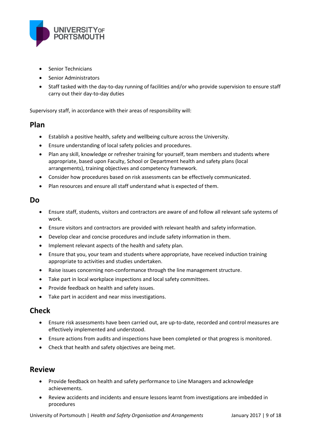

- Senior Technicians
- Senior Administrators
- Staff tasked with the day-to-day running of facilities and/or who provide supervision to ensure staff carry out their day-to-day duties

Supervisory staff, in accordance with their areas of responsibility will:

#### **Plan**

- Establish a positive health, safety and wellbeing culture across the University.
- Ensure understanding of local safety policies and procedures.
- Plan any skill, knowledge or refresher training for yourself, team members and students where appropriate, based upon Faculty, School or Department health and safety plans (local arrangements), training objectives and competency framework.
- Consider how procedures based on risk assessments can be effectively communicated.
- Plan resources and ensure all staff understand what is expected of them.

#### **Do**

- Ensure staff, students, visitors and contractors are aware of and follow all relevant safe systems of work.
- Ensure visitors and contractors are provided with relevant health and safety information.
- Develop clear and concise procedures and include safety information in them.
- Implement relevant aspects of the health and safety plan.
- Ensure that you, your team and students where appropriate, have received induction training appropriate to activities and studies undertaken.
- Raise issues concerning non-conformance through the line management structure.
- Take part in local workplace inspections and local safety committees.
- Provide feedback on health and safety issues.
- Take part in accident and near miss investigations.

#### **Check**

- Ensure risk assessments have been carried out, are up-to-date, recorded and control measures are effectively implemented and understood.
- Ensure actions from audits and inspections have been completed or that progress is monitored.
- Check that health and safety objectives are being met.

#### **Review**

- Provide feedback on health and safety performance to Line Managers and acknowledge achievements.
- Review accidents and incidents and ensure lessons learnt from investigations are imbedded in procedures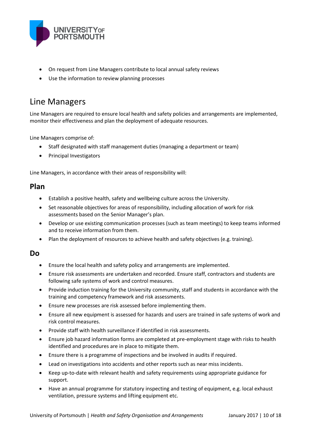

- On request from Line Managers contribute to local annual safety reviews
- Use the information to review planning processes

## Line Managers

Line Managers are required to ensure local health and safety policies and arrangements are implemented, monitor their effectiveness and plan the deployment of adequate resources.

Line Managers comprise of:

- Staff designated with staff management duties (managing a department or team)
- Principal Investigators

Line Managers, in accordance with their areas of responsibility will:

#### **Plan**

- Establish a positive health, safety and wellbeing culture across the University.
- Set reasonable objectives for areas of responsibility, including allocation of work for risk assessments based on the Senior Manager's plan.
- Develop or use existing communication processes (such as team meetings) to keep teams informed and to receive information from them.
- Plan the deployment of resources to achieve health and safety objectives (e.g. training).

#### **Do**

- Ensure the local health and safety policy and arrangements are implemented.
- Ensure risk assessments are undertaken and recorded. Ensure staff, contractors and students are following safe systems of work and control measures.
- Provide induction training for the University community, staff and students in accordance with the training and competency framework and risk assessments.
- Ensure new processes are risk assessed before implementing them.
- Ensure all new equipment is assessed for hazards and users are trained in safe systems of work and risk control measures.
- Provide staff with health surveillance if identified in risk assessments.
- Ensure job hazard information forms are completed at pre-employment stage with risks to health identified and procedures are in place to mitigate them.
- Ensure there is a programme of inspections and be involved in audits if required.
- Lead on investigations into accidents and other reports such as near miss incidents.
- Keep up-to-date with relevant health and safety requirements using appropriate guidance for support.
- Have an annual programme for statutory inspecting and testing of equipment, e.g. local exhaust ventilation, pressure systems and lifting equipment etc.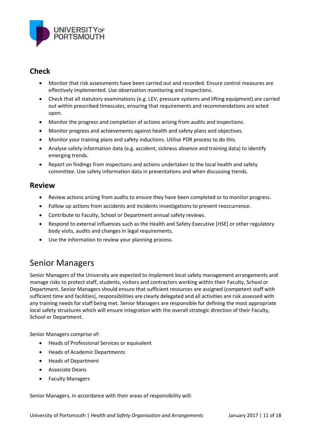

## **Check**

- Monitor that risk assessments have been carried out and recorded. Ensure control measures are effectively implemented. Use observation monitoring and inspections.
- Check that all statutory examinations (e.g. LEV, pressure systems and lifting equipment) are carried out within prescribed timescales, ensuring that requirements and recommendations are acted upon.
- Monitor the progress and completion of actions arising from audits and inspections.
- Monitor progress and achievements against health and safety plans and objectives.
- Monitor your training plans and safety inductions. Utilise PDR process to do this.
- Analyse safety information data (e.g. accident, sickness absence and training data) to identify emerging trends.
- Report on findings from inspections and actions undertaken to the local health and safety committee. Use safety information data in presentations and when discussing trends.

### **Review**

- Review actions arising from audits to ensure they have been completed or to monitor progress.
- Follow up actions from accidents and incidents investigations to prevent reoccurrence.
- Contribute to Faculty, School or Department annual safety reviews.
- Respond to external influences such as the Health and Safety Executive [HSE] or other regulatory body visits, audits and changes in legal requirements.
- Use the information to review your planning process.

# Senior Managers

Senior Managers of the University are expected to implement local safety management arrangements and manage risks to protect staff, students, visitors and contractors working within their Faculty, School or Department. Senior Managers should ensure that sufficient resources are assigned (competent staff with sufficient time and facilities), responsibilities are clearly delegated and all activities are risk assessed with any training needs for staff being met. Senior Managers are responsible for defining the most appropriate local safety structures which will ensure integration with the overall strategic direction of their Faculty, School or Department.

Senior Managers comprise of:

- Heads of Professional Services or equivalent
- Heads of Academic Departments
- Heads of Department
- Associate Deans
- Faculty Managers

Senior Managers, in accordance with their areas of responsibility will: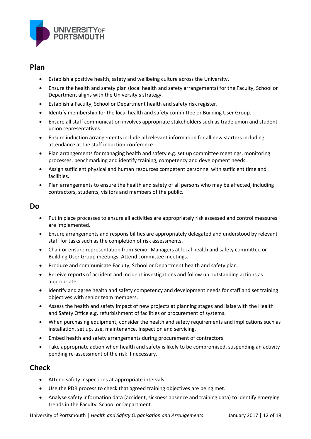

#### **Plan**

- Establish a positive health, safety and wellbeing culture across the University.
- Ensure the health and safety plan (local health and safety arrangements) for the Faculty, School or Department aligns with the University's strategy.
- Establish a Faculty, School or Department health and safety risk register.
- Identify membership for the local health and safety committee or Building User Group.
- Ensure all staff communication involves appropriate stakeholders such as trade union and student union representatives.
- Ensure induction arrangements include all relevant information for all new starters including attendance at the staff induction conference.
- Plan arrangements for managing health and safety e.g. set up committee meetings, monitoring processes, benchmarking and identify training, competency and development needs.
- Assign sufficient physical and human resources competent personnel with sufficient time and facilities.
- Plan arrangements to ensure the health and safety of all persons who may be affected, including contractors, students, visitors and members of the public.

#### **Do**

- Put in place processes to ensure all activities are appropriately risk assessed and control measures are implemented.
- Ensure arrangements and responsibilities are appropriately delegated and understood by relevant staff for tasks such as the completion of risk assessments.
- Chair or ensure representation from Senior Managers at local health and safety committee or Building User Group meetings. Attend committee meetings.
- Produce and communicate Faculty, School or Department health and safety plan.
- Receive reports of accident and incident investigations and follow up outstanding actions as appropriate.
- Identify and agree health and safety competency and development needs for staff and set training objectives with senior team members.
- Assess the health and safety impact of new projects at planning stages and liaise with the Health and Safety Office e.g. refurbishment of facilities or procurement of systems.
- When purchasing equipment, consider the health and safety requirements and implications such as installation, set up, use, maintenance, inspection and servicing.
- Embed health and safety arrangements during procurement of contractors.
- Take appropriate action when health and safety is likely to be compromised, suspending an activity pending re-assessment of the risk if necessary.

## **Check**

- Attend safety inspections at appropriate intervals.
- Use the PDR process to check that agreed training objectives are being met.
- Analyse safety information data (accident, sickness absence and training data) to identify emerging trends in the Faculty, School or Department.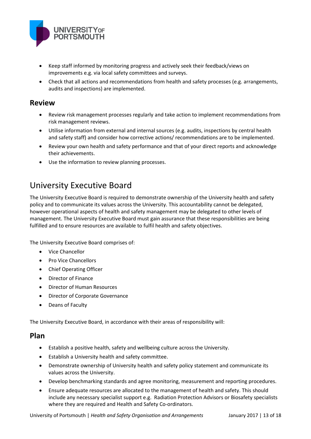

- Keep staff informed by monitoring progress and actively seek their feedback/views on improvements e.g. via local safety committees and surveys.
- Check that all actions and recommendations from health and safety processes (e.g. arrangements, audits and inspections) are implemented.

#### **Review**

- Review risk management processes regularly and take action to implement recommendations from risk management reviews.
- Utilise information from external and internal sources (e.g. audits, inspections by central health and safety staff) and consider how corrective actions/ recommendations are to be implemented.
- Review your own health and safety performance and that of your direct reports and acknowledge their achievements.
- Use the information to review planning processes.

# University Executive Board

The University Executive Board is required to demonstrate ownership of the University health and safety policy and to communicate its values across the University. This accountability cannot be delegated, however operational aspects of health and safety management may be delegated to other levels of management. The University Executive Board must gain assurance that these responsibilities are being fulfilled and to ensure resources are available to fulfil health and safety objectives.

The University Executive Board comprises of:

- Vice Chancellor
- Pro Vice Chancellors
- Chief Operating Officer
- Director of Finance
- Director of Human Resources
- Director of Corporate Governance
- Deans of Faculty

The University Executive Board, in accordance with their areas of responsibility will:

#### **Plan**

- Establish a positive health, safety and wellbeing culture across the University.
- Establish a University health and safety committee.
- Demonstrate ownership of University health and safety policy statement and communicate its values across the University.
- Develop benchmarking standards and agree monitoring, measurement and reporting procedures.
- Ensure adequate resources are allocated to the management of health and safety. This should include any necessary specialist support e.g. Radiation Protection Advisors or Biosafety specialists where they are required and Health and Safety Co-ordinators.

University of Portsmouth | *Health and Safety Organisation and Arrangements* January 2017 | 13 of 18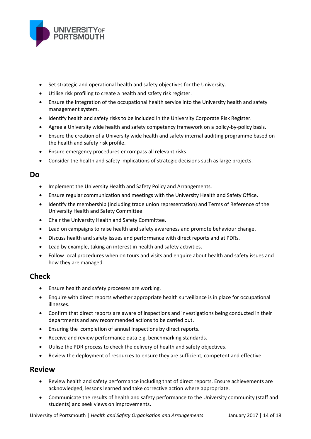

- Set strategic and operational health and safety objectives for the University.
- Utilise risk profiling to create a health and safety risk register.
- Ensure the integration of the occupational health service into the University health and safety management system.
- Identify health and safety risks to be included in the University Corporate Risk Register.
- Agree a University wide health and safety competency framework on a policy-by-policy basis.
- Ensure the creation of a University wide health and safety internal auditing programme based on the health and safety risk profile.
- Ensure emergency procedures encompass all relevant risks.
- Consider the health and safety implications of strategic decisions such as large projects.

#### **Do**

- Implement the University Health and Safety Policy and Arrangements.
- Ensure regular communication and meetings with the University Health and Safety Office.
- Identify the membership (including trade union representation) and Terms of Reference of the University Health and Safety Committee.
- Chair the University Health and Safety Committee.
- Lead on campaigns to raise health and safety awareness and promote behaviour change.
- Discuss health and safety issues and performance with direct reports and at PDRs.
- Lead by example, taking an interest in health and safety activities.
- Follow local procedures when on tours and visits and enquire about health and safety issues and how they are managed.

## **Check**

- Ensure health and safety processes are working.
- Enquire with direct reports whether appropriate health surveillance is in place for occupational illnesses.
- Confirm that direct reports are aware of inspections and investigations being conducted in their departments and any recommended actions to be carried out.
- Ensuring the completion of annual inspections by direct reports.
- Receive and review performance data e.g. benchmarking standards.
- Utilise the PDR process to check the delivery of health and safety objectives.
- Review the deployment of resources to ensure they are sufficient, competent and effective.

### **Review**

- Review health and safety performance including that of direct reports. Ensure achievements are acknowledged, lessons learned and take corrective action where appropriate.
- Communicate the results of health and safety performance to the University community (staff and students) and seek views on improvements.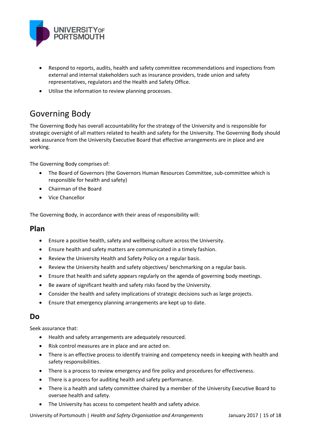

- Respond to reports, audits, health and safety committee recommendations and inspections from external and internal stakeholders such as insurance providers, trade union and safety representatives, regulators and the Health and Safety Office.
- Utilise the information to review planning processes.

# Governing Body

The Governing Body has overall accountability for the strategy of the University and is responsible for strategic oversight of all matters related to health and safety for the University. The Governing Body should seek assurance from the University Executive Board that effective arrangements are in place and are working.

The Governing Body comprises of:

- The Board of Governors (the Governors Human Resources Committee, sub-committee which is responsible for health and safety)
- Chairman of the Board
- Vice Chancellor

The Governing Body, in accordance with their areas of responsibility will:

#### **Plan**

- Ensure a positive health, safety and wellbeing culture across the University.
- Ensure health and safety matters are communicated in a timely fashion.
- Review the University Health and Safety Policy on a regular basis.
- Review the University health and safety objectives/ benchmarking on a regular basis.
- Ensure that health and safety appears regularly on the agenda of governing body meetings.
- Be aware of significant health and safety risks faced by the University.
- Consider the health and safety implications of strategic decisions such as large projects.
- Ensure that emergency planning arrangements are kept up to date.

#### **Do**

Seek assurance that:

- Health and safety arrangements are adequately resourced.
- Risk control measures are in place and are acted on.
- There is an effective process to identify training and competency needs in keeping with health and safety responsibilities.
- There is a process to review emergency and fire policy and procedures for effectiveness.
- There is a process for auditing health and safety performance.
- There is a health and safety committee chaired by a member of the University Executive Board to oversee health and safety.
- The University has access to competent health and safety advice.

University of Portsmouth | *Health and Safety Organisation and Arrangements* January 2017 | 15 of 18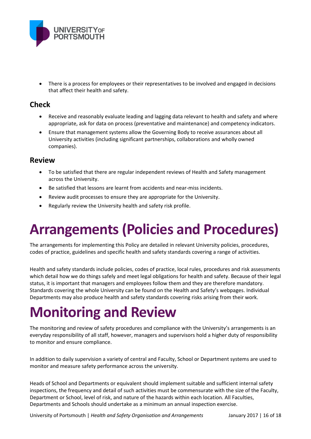

 There is a process for employees or their representatives to be involved and engaged in decisions that affect their health and safety.

## **Check**

- Receive and reasonably evaluate leading and lagging data relevant to health and safety and where appropriate, ask for data on process (preventative and maintenance) and competency indicators.
- Ensure that management systems allow the Governing Body to receive assurances about all University activities (including significant partnerships, collaborations and wholly owned companies).

### **Review**

- To be satisfied that there are regular independent reviews of Health and Safety management across the University.
- Be satisfied that lessons are learnt from accidents and near-miss incidents.
- Review audit processes to ensure they are appropriate for the University.
- Regularly review the University health and safety risk profile.

# **Arrangements (Policies and Procedures)**

The arrangements for implementing this Policy are detailed in relevant University policies, procedures, codes of practice, guidelines and specific health and safety standards covering a range of activities.

Health and safety standards include policies, codes of practice, local rules, procedures and risk assessments which detail how we do things safely and meet legal obligations for health and safety. Because of their legal status, it is important that managers and employees follow them and they are therefore mandatory. Standards covering the whole University can be found on the Health and Safety's webpages. Individual Departments may also produce health and safety standards covering risks arising from their work.

# **Monitoring and Review**

The monitoring and review of safety procedures and compliance with the University's arrangements is an everyday responsibility of all staff, however, managers and supervisors hold a higher duty of responsibility to monitor and ensure compliance.

In addition to daily supervision a variety of central and Faculty, School or Department systems are used to monitor and measure safety performance across the university.

Heads of School and Departments or equivalent should implement suitable and sufficient internal safety inspections, the frequency and detail of such activities must be commensurate with the size of the Faculty, Department or School, level of risk, and nature of the hazards within each location. All Faculties, Departments and Schools should undertake as a minimum an annual inspection exercise.

University of Portsmouth | *Health and Safety Organisation and Arrangements* January 2017 | 16 of 18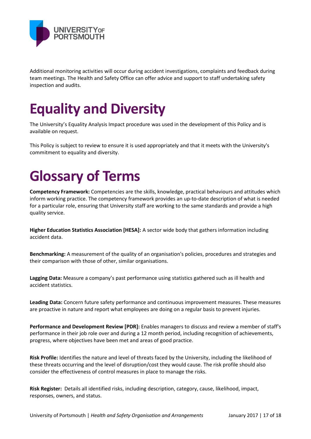

Additional monitoring activities will occur during accident investigations, complaints and feedback during team meetings. The Health and Safety Office can offer advice and support to staff undertaking safety inspection and audits.

# **Equality and Diversity**

The University's Equality Analysis Impact procedure was used in the development of this Policy and is available on request.

This Policy is subject to review to ensure it is used appropriately and that it meets with the University's commitment to equality and diversity.

# **Glossary of Terms**

**Competency Framework:** Competencies are the skills, knowledge, practical behaviours and attitudes which inform working practice. The competency framework provides an up-to-date description of what is needed for a particular role, ensuring that University staff are working to the same standards and provide a high quality service.

**Higher Education Statistics Association [HESA]:** A sector wide body that gathers information including accident data.

**Benchmarking:** A measurement of the quality of an organisation's policies, procedures and strategies and their comparison with those of other, similar organisations.

**Lagging Data:** Measure a company's past performance using statistics gathered such as ill health and accident statistics.

**Leading Data:** Concern future safety performance and continuous improvement measures. These measures are proactive in nature and report what employees are doing on a regular basis to prevent injuries.

**Performance and Development Review [PDR]:** Enables managers to discuss and review a member of staff's performance in their job role over and during a 12 month period, including recognition of achievements, progress, where objectives have been met and areas of good practice.

**Risk Profile:** Identifies the nature and level of threats faced by the University, including the likelihood of these threats occurring and the level of disruption/cost they would cause. The risk profile should also consider the effectiveness of control measures in place to manage the risks.

**Risk Register:** Details all identified risks, including description, category, cause, likelihood, impact, responses, owners, and status.